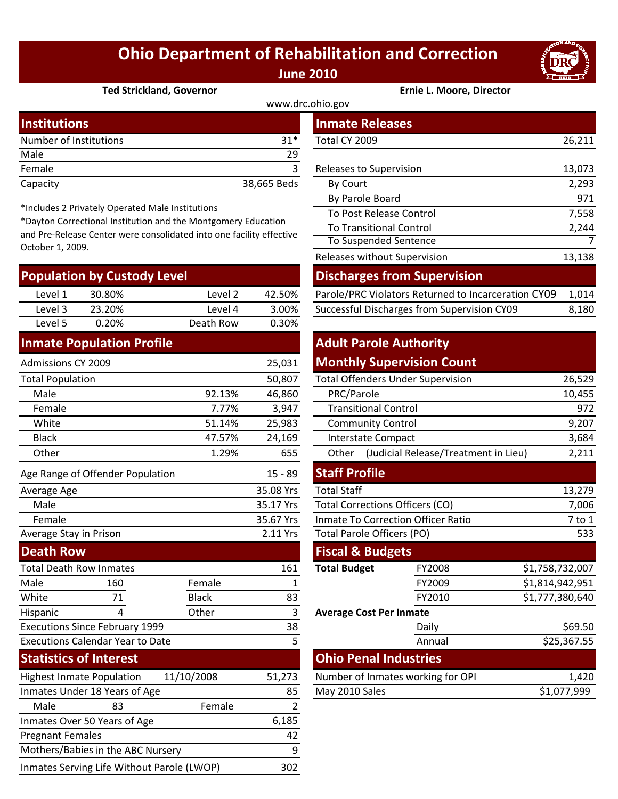## **Ohio Department of Rehabilitation and Correction June 2010**



#### **Ted Strickland, Governor Ernie L. Moore, Director**

| www.drc.ohio.gov       |             |                         |        |  |  |
|------------------------|-------------|-------------------------|--------|--|--|
| Institutions           |             | <b>Inmate Releases</b>  |        |  |  |
| Number of Institutions | $31*$       | Total CY 2009           | 26,211 |  |  |
| Male                   | 29          |                         |        |  |  |
| Female                 |             | Releases to Supervision | 13,073 |  |  |
| Capacity               | 38,665 Beds | By Court                | 2,293  |  |  |

\*Includes 2 Privately Operated Male Institutions

\*Dayton Correctional Institution and the Montgomery Education and Pre‐Release Center were consolidated into one facility effective October 1, 2009.

| <b>Population by Custody Level</b> |        |           |        | <b>Discharges from Supervision</b>                  |       |  |
|------------------------------------|--------|-----------|--------|-----------------------------------------------------|-------|--|
| Level 1                            | 30.80% | Level 2   | 42.50% | Parole/PRC Violators Returned to Incarceration CY09 | 1.014 |  |
| Level 3                            | 23.20% | Level 4   | 3.00%  | Successful Discharges from Supervision CY09         | 8,180 |  |
| Level 5                            | 0.20%  | Death Row | 0.30%  |                                                     |       |  |
|                                    |        |           |        | allen la la lle                                     |       |  |

#### **Inmate Population Profile**

| <b>Admissions CY 2009</b>               |                                  |              | 25,031              |                                               | <b>Monthly Supervision Count</b> |                 |
|-----------------------------------------|----------------------------------|--------------|---------------------|-----------------------------------------------|----------------------------------|-----------------|
| <b>Total Population</b>                 |                                  |              | 50,807              | <b>Total Offenders Under Supervision</b>      |                                  | 26,529          |
| Male                                    |                                  | 92.13%       | 46,860              | PRC/Parole                                    |                                  | 10,455          |
| Female                                  |                                  | 7.77%        | 3,947               | <b>Transitional Control</b>                   |                                  | 972             |
| White                                   |                                  | 51.14%       | 25,983              | <b>Community Control</b>                      |                                  | 9,207           |
| <b>Black</b>                            |                                  | 47.57%       | 24,169              | <b>Interstate Compact</b>                     |                                  | 3,684           |
| Other                                   |                                  | 1.29%        | 655                 | (Judicial Release/Treatment in Lieu)<br>Other |                                  | 2,211           |
|                                         | Age Range of Offender Population |              | $15 - 89$           | <b>Staff Profile</b>                          |                                  |                 |
| Average Age                             |                                  |              | 35.08 Yrs           | <b>Total Staff</b>                            |                                  | 13,279          |
| Male                                    |                                  |              | 35.17 Yrs           | <b>Total Corrections Officers (CO)</b>        |                                  | 7,006           |
| Female                                  |                                  |              | 35.67 Yrs           | <b>Inmate To Correction Officer Ratio</b>     |                                  | $7$ to $1$      |
| Average Stay in Prison                  |                                  |              | 2.11 Yrs            | Total Parole Officers (PO)                    |                                  | 533             |
| <b>Death Row</b>                        |                                  |              |                     | <b>Fiscal &amp; Budgets</b>                   |                                  |                 |
| <b>Total Death Row Inmates</b>          |                                  | 161          | <b>Total Budget</b> | FY2008                                        | \$1,758,732,007                  |                 |
| Male                                    | 160                              | Female       | 1                   |                                               | FY2009                           | \$1,814,942,951 |
| White                                   | 71                               | <b>Black</b> | 83                  |                                               | FY2010                           | \$1,777,380,640 |
| Hispanic                                | 4                                | Other        | 3                   | <b>Average Cost Per Inmate</b>                |                                  |                 |
| <b>Executions Since February 1999</b>   |                                  |              | 38                  |                                               | Daily                            | \$69.50         |
| <b>Executions Calendar Year to Date</b> |                                  |              | 5                   |                                               | Annual                           | \$25,367.55     |
| <b>Statistics of Interest</b>           |                                  |              |                     | <b>Ohio Penal Industries</b>                  |                                  |                 |
| <b>Highest Inmate Population</b>        |                                  | 11/10/2008   | 51,273              | Number of Inmates working for OPI             |                                  | 1,420           |
| Inmates Under 18 Years of Age           |                                  | 85           | May 2010 Sales      |                                               | \$1,077,999                      |                 |
| Male                                    | 83                               | Female       | 2                   |                                               |                                  |                 |
| Inmates Over 50 Years of Age            |                                  |              | 6,185               |                                               |                                  |                 |
| <b>Pregnant Females</b>                 |                                  |              | 42                  |                                               |                                  |                 |
| Mothers/Babies in the ABC Nursery       |                                  |              | 9                   |                                               |                                  |                 |

Inmates Serving Life Without Parole (LWOP) 302

| stitutions                                                                                                                                                                                       |                           |           |             | <b>Inmate Releases</b>                              |        |
|--------------------------------------------------------------------------------------------------------------------------------------------------------------------------------------------------|---------------------------|-----------|-------------|-----------------------------------------------------|--------|
|                                                                                                                                                                                                  | mber of Institutions      |           | $31*$       | Total CY 2009                                       | 26,211 |
| le                                                                                                                                                                                               |                           |           | 29          |                                                     |        |
| nale                                                                                                                                                                                             |                           |           | 3           | Releases to Supervision                             | 13,073 |
| acity                                                                                                                                                                                            |                           |           | 38,665 Beds | By Court                                            | 2,293  |
|                                                                                                                                                                                                  |                           |           |             | By Parole Board                                     | 971    |
| cludes 2 Privately Operated Male Institutions<br>yton Correctional Institution and the Montgomery Education<br>Pre-Release Center were consolidated into one facility effective<br>ober 1, 2009. |                           |           |             | To Post Release Control                             | 7,558  |
|                                                                                                                                                                                                  |                           |           |             | <b>To Transitional Control</b>                      | 2,244  |
|                                                                                                                                                                                                  |                           |           |             | To Suspended Sentence                               | 7      |
|                                                                                                                                                                                                  |                           |           |             | Releases without Supervision                        | 13,138 |
|                                                                                                                                                                                                  | pulation by Custody Level |           |             | <b>Discharges from Supervision</b>                  |        |
| Level 1                                                                                                                                                                                          | 30.80%                    | Level 2   | 42.50%      | Parole/PRC Violators Returned to Incarceration CY09 | 1,014  |
| 2 امتیم ا                                                                                                                                                                                        | אחר בר.                   | 1 امیرہ ا | 2 UU C      | Successful Discharges from Supervision CV09         | 9.190  |

### **Adult Parole Authority Monthly Supervision Count**

|                      | 50,807    | <b>Total Offenders Under Supervision</b>  | 26,529                                        |                 |  |  |
|----------------------|-----------|-------------------------------------------|-----------------------------------------------|-----------------|--|--|
| 92.13%               | 46,860    | PRC/Parole                                | 10,455                                        |                 |  |  |
| 7.77%                | 3,947     | <b>Transitional Control</b>               | 972                                           |                 |  |  |
| 51.14%               | 25,983    | <b>Community Control</b>                  | 9,207                                         |                 |  |  |
| 47.57%               | 24,169    | <b>Interstate Compact</b>                 | 3,684                                         |                 |  |  |
| 1.29%                | 655       | Other                                     | (Judicial Release/Treatment in Lieu)<br>2,211 |                 |  |  |
|                      | $15 - 89$ | <b>Staff Profile</b>                      |                                               |                 |  |  |
|                      | 35.08 Yrs | <b>Total Staff</b>                        | 13,279                                        |                 |  |  |
|                      | 35.17 Yrs | <b>Total Corrections Officers (CO)</b>    | 7,006                                         |                 |  |  |
|                      | 35.67 Yrs | <b>Inmate To Correction Officer Ratio</b> | 7 to 1                                        |                 |  |  |
|                      | 2.11 Yrs  | Total Parole Officers (PO)                | 533                                           |                 |  |  |
|                      |           | <b>Fiscal &amp; Budgets</b>               |                                               |                 |  |  |
|                      | 161       | <b>Total Budget</b>                       | FY2008                                        | \$1,758,732,007 |  |  |
| ıale                 | 1         |                                           | FY2009                                        | \$1,814,942,951 |  |  |
| :k                   | 83        |                                           | FY2010                                        | \$1,777,380,640 |  |  |
| er                   | 3         | <b>Average Cost Per Inmate</b>            |                                               |                 |  |  |
|                      | 38        |                                           | Daily                                         | \$69.50         |  |  |
|                      | 5         |                                           | Annual                                        | \$25,367.55     |  |  |
|                      |           |                                           | <b>Ohio Penal Industries</b>                  |                 |  |  |
| 08                   | 51,273    | Number of Inmates working for OPI         | 1,420                                         |                 |  |  |
| 85<br>May 2010 Sales |           |                                           | \$1,077,999                                   |                 |  |  |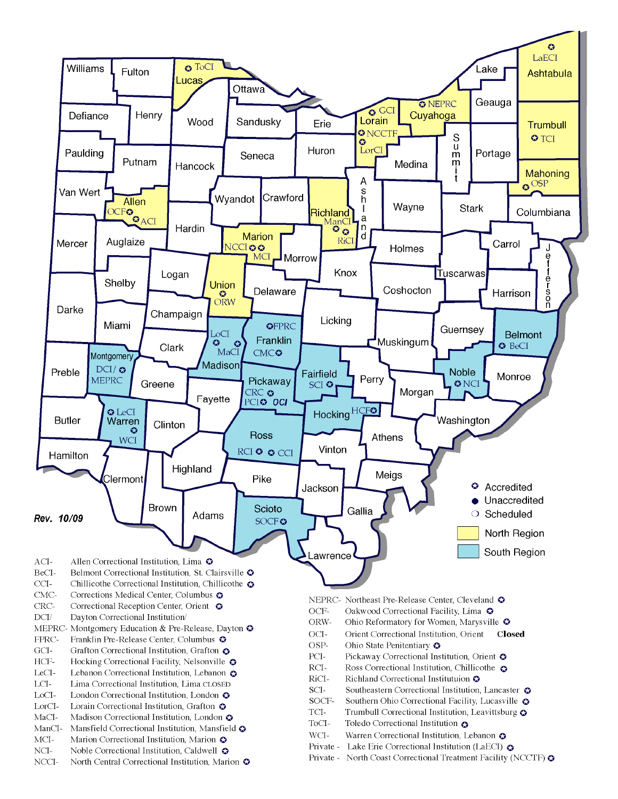